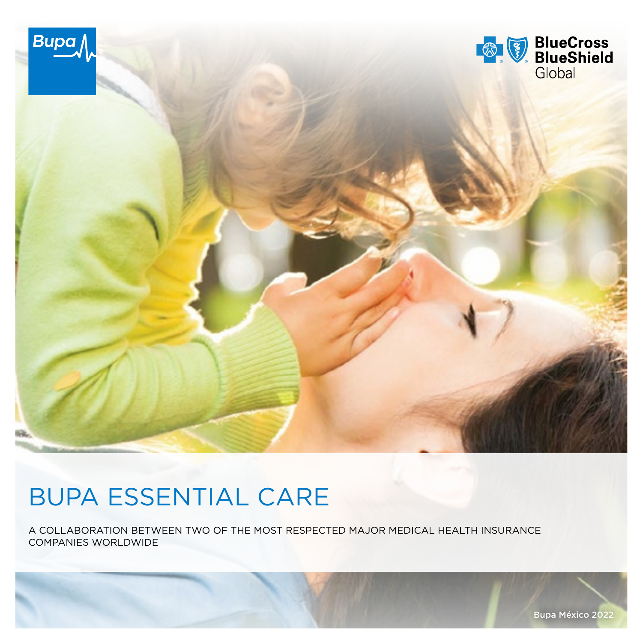

# BUPA ESSENTIAL CARE

A COLLABORATION BETWEEN TWO OF THE MOST RESPECTED MAJOR MEDICAL HEALTH INSURANCE COMPANIES WORLDWIDE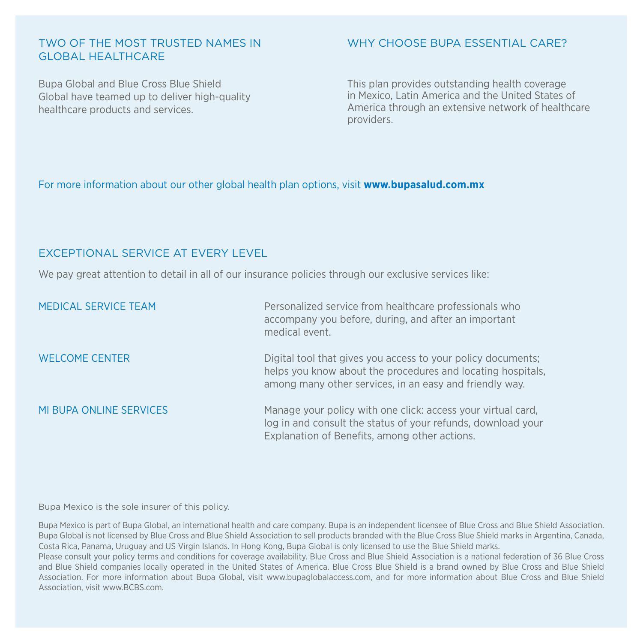#### TWO OF THE MOST TRUSTED NAMES IN GLOBAL HEALTHCARE

Bupa Global and Blue Cross Blue Shield Global have teamed up to deliver high-quality healthcare products and services.

### WHY CHOOSE BUPA ESSENTIAL CARE?

This plan provides outstanding health coverage in Mexico, Latin America and the United States of America through an extensive network of healthcare providers.

#### For more information about our other global health plan options, visit **www.bupasalud.com.mx**

#### EXCEPTIONAL SERVICE AT EVERY LEVEL

We pay great attention to detail in all of our insurance policies through our exclusive services like:

| MEDICAL SERVICE TEAM    | Personalized service from healthcare professionals who<br>accompany you before, during, and after an important<br>medical event.                                                       |
|-------------------------|----------------------------------------------------------------------------------------------------------------------------------------------------------------------------------------|
| <b>WELCOME CENTER</b>   | Digital tool that gives you access to your policy documents;<br>helps you know about the procedures and locating hospitals,<br>among many other services, in an easy and friendly way. |
| MI BUPA ONLINE SERVICES | Manage your policy with one click: access your virtual card,<br>log in and consult the status of your refunds, download your<br>Explanation of Benefits, among other actions.          |

Bupa Mexico is the sole insurer of this policy.

Bupa Mexico is part of Bupa Global, an international health and care company. Bupa is an independent licensee of Blue Cross and Blue Shield Association. Bupa Global is not licensed by Blue Cross and Blue Shield Association to sell products branded with the Blue Cross Blue Shield marks in Argentina, Canada, Costa Rica, Panama, Uruguay and US Virgin Islands. In Hong Kong, Bupa Global is only licensed to use the Blue Shield marks.

Please consult your policy terms and conditions for coverage availability. Blue Cross and Blue Shield Association is a national federation of 36 Blue Cross and Blue Shield companies locally operated in the United States of America. Blue Cross Blue Shield is a brand owned by Blue Cross and Blue Shield Association. For more information about Bupa Global, visit www.bupaglobalaccess.com, and for more information about Blue Cross and Blue Shield Association, visit www.BCBS.com.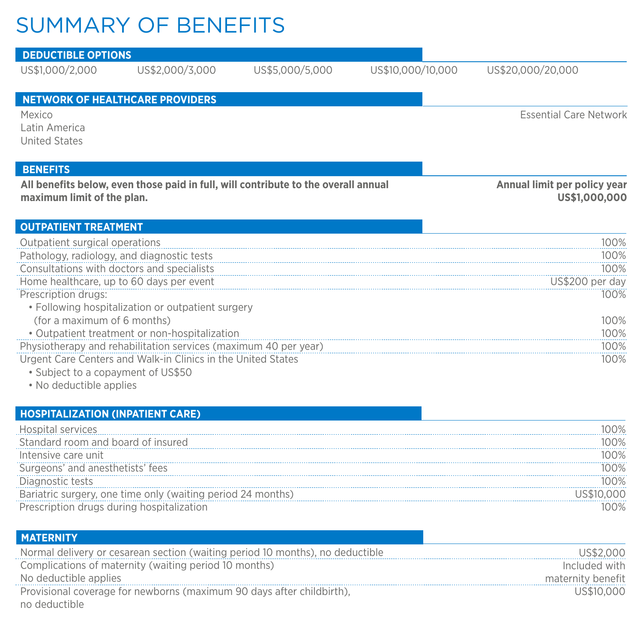## SUMMARY OF BENEFITS

| <b>DEDUCTIBLE OPTIONS</b>               |                                                                                    |                 |                   |                                               |
|-----------------------------------------|------------------------------------------------------------------------------------|-----------------|-------------------|-----------------------------------------------|
| US\$1,000/2,000                         | US\$2,000/3,000                                                                    | US\$5,000/5,000 | US\$10,000/10,000 | US\$20,000/20,000                             |
|                                         | <b>NETWORK OF HEALTHCARE PROVIDERS</b>                                             |                 |                   |                                               |
| Mexico                                  |                                                                                    |                 |                   | <b>Essential Care Network</b>                 |
| Latin America                           |                                                                                    |                 |                   |                                               |
| <b>United States</b>                    |                                                                                    |                 |                   |                                               |
| <b>BENEFITS</b>                         |                                                                                    |                 |                   |                                               |
| maximum limit of the plan.              | All benefits below, even those paid in full, will contribute to the overall annual |                 |                   | Annual limit per policy year<br>US\$1,000,000 |
|                                         |                                                                                    |                 |                   |                                               |
| <b>OUTPATIENT TREATMENT</b>             |                                                                                    |                 |                   |                                               |
| Outpatient surgical operations          |                                                                                    |                 |                   | 100%                                          |
|                                         | Pathology, radiology, and diagnostic tests                                         |                 |                   | 100%                                          |
|                                         | Consultations with doctors and specialists                                         |                 |                   | 100%                                          |
|                                         | Home healthcare, up to 60 days per event                                           |                 |                   | US\$200 per day                               |
| Prescription drugs:                     |                                                                                    |                 |                   | 100%                                          |
| (for a maximum of 6 months)             | • Following hospitalization or outpatient surgery                                  |                 |                   | 100%                                          |
|                                         | • Outpatient treatment or non-hospitalization                                      |                 |                   | 100%                                          |
|                                         | Physiotherapy and rehabilitation services (maximum 40 per year)                    |                 |                   | 100%                                          |
|                                         | Urgent Care Centers and Walk-in Clinics in the United States                       |                 |                   | 100%                                          |
| • Subject to a copayment of US\$50      |                                                                                    |                 |                   |                                               |
| • No deductible applies                 |                                                                                    |                 |                   |                                               |
|                                         |                                                                                    |                 |                   |                                               |
| <b>HOSPITALIZATION (INPATIENT CARE)</b> |                                                                                    |                 |                   |                                               |
|                                         |                                                                                    |                 |                   |                                               |

| dard room and board of insured.                         |  |
|---------------------------------------------------------|--|
| 'ensive care unit                                       |  |
|                                                         |  |
|                                                         |  |
| iatric surgery, one time only<br>waiting period<br>- 74 |  |
|                                                         |  |

| <b>MATERNITY</b>                                                              |                   |
|-------------------------------------------------------------------------------|-------------------|
| Normal delivery or cesarean section (waiting period 10 months), no deductible | US\$2.000         |
| Complications of maternity (waiting period 10 months)                         | Included with     |
| No deductible applies                                                         | maternity benefit |
| Provisional coverage for newborns (maximum 90 days after childbirth),         | US\$10.000        |
| no deductible                                                                 |                   |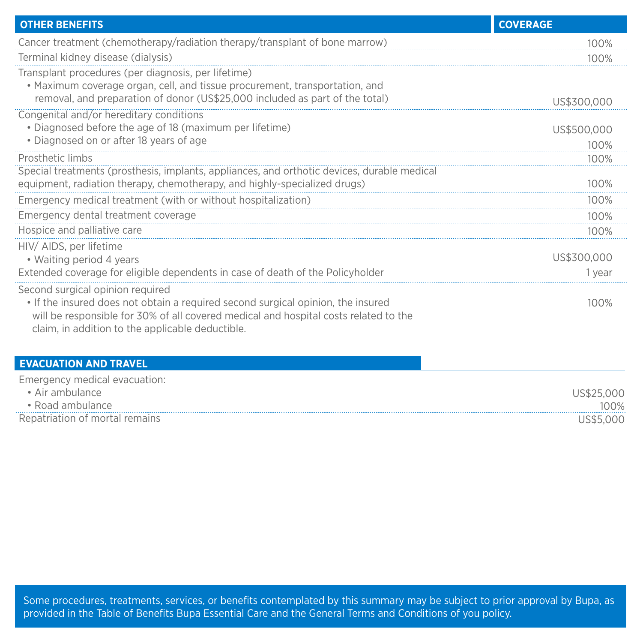| <b>OTHER BENEFITS</b>                                                                                                                                                                                                                                            | <b>COVERAGE</b>       |
|------------------------------------------------------------------------------------------------------------------------------------------------------------------------------------------------------------------------------------------------------------------|-----------------------|
| Cancer treatment (chemotherapy/radiation therapy/transplant of bone marrow)                                                                                                                                                                                      | 100%                  |
| Terminal kidney disease (dialysis)                                                                                                                                                                                                                               | 100%                  |
| Transplant procedures (per diagnosis, per lifetime)<br>• Maximum coverage organ, cell, and tissue procurement, transportation, and<br>removal, and preparation of donor (US\$25,000 included as part of the total)                                               | US\$300,000           |
| Congenital and/or hereditary conditions<br>• Diagnosed before the age of 18 (maximum per lifetime)<br>• Diagnosed on or after 18 years of age                                                                                                                    | US\$500,000<br>100%   |
| Prosthetic limbs                                                                                                                                                                                                                                                 | 100%                  |
| Special treatments (prosthesis, implants, appliances, and orthotic devices, durable medical<br>equipment, radiation therapy, chemotherapy, and highly-specialized drugs)                                                                                         | 100%                  |
| Emergency medical treatment (with or without hospitalization)                                                                                                                                                                                                    | 100%                  |
| Emergency dental treatment coverage                                                                                                                                                                                                                              | 100%                  |
| Hospice and palliative care                                                                                                                                                                                                                                      | 100%                  |
| HIV/ AIDS, per lifetime<br>• Waiting period 4 years<br>Extended coverage for eligible dependents in case of death of the Policyholder                                                                                                                            | US\$300,000<br>1 vear |
| Second surgical opinion required<br>. If the insured does not obtain a required second surgical opinion, the insured<br>will be responsible for 30% of all covered medical and hospital costs related to the<br>claim, in addition to the applicable deductible. | 100%                  |
| <b>EVACUATION AND TRAVEL</b>                                                                                                                                                                                                                                     |                       |
| Emergency medical evacuation:<br>a Airpmbulance                                                                                                                                                                                                                  | <b>LICASE AAA</b>     |

| Alr<br>mbulance.               |      |
|--------------------------------|------|
| · Road ambulance               | 100% |
| Repatriation of mortal remains |      |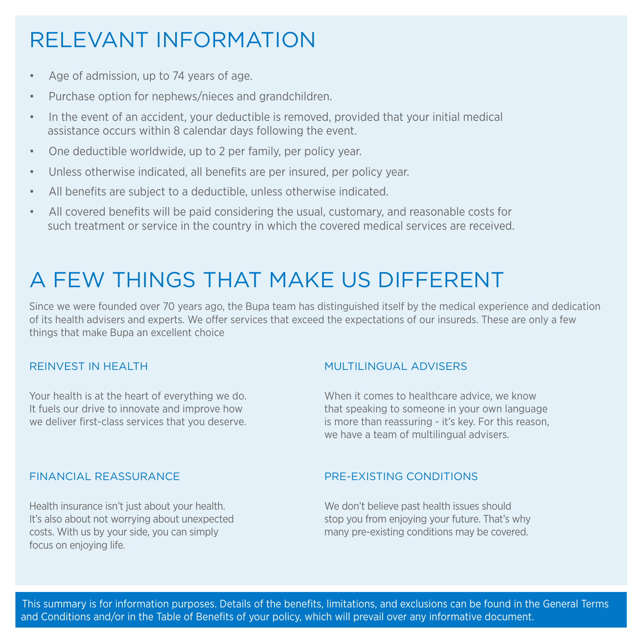## RELEVANT INFORMATION

- Age of admission, up to 74 years of age.
- Purchase option for nephews/nieces and grandchildren.
- In the event of an accident, your deductible is removed, provided that your initial medical assistance occurs within 8 calendar days following the event.
- One deductible worldwide, up to 2 per family, per policy year.
- Unless otherwise indicated, all benefits are per insured, per policy year.
- All benefits are subject to a deductible, unless otherwise indicated.
- All covered benefits will be paid considering the usual, customary, and reasonable costs for such treatment or service in the country in which the covered medical services are received.

### A FEW THINGS THAT MAKE US DIFFERENT

Since we were founded over 70 years ago, the Bupa team has distinguished itself by the medical experience and dedication of its health advisers and experts. We offer services that exceed the expectations of our insureds. These are only a few things that make Bupa an excellent choice

### REINVEST IN HEALTH

Your health is at the heart of everything we do. It fuels our drive to innovate and improve how we deliver first-class services that you deserve.

### MULTILINGUAL ADVISERS

When it comes to healthcare advice, we know that speaking to someone in your own language is more than reassuring - it's key. For this reason, we have a team of multilingual advisers.

### FINANCIAL REASSURANCE

Health insurance isn't just about your health. It's also about not worrying about unexpected costs. With us by your side, you can simply focus on enjoying life.

### PRE-EXISTING CONDITIONS

We don't believe past health issues should stop you from enjoying your future. That's why many pre-existing conditions may be covered.

 This summary is for information purposes. Details of the benefits, limitations, and exclusions can be found in the General Terms and Conditions and/or in the Table of Benefits of your policy, which will prevail over any informative document.